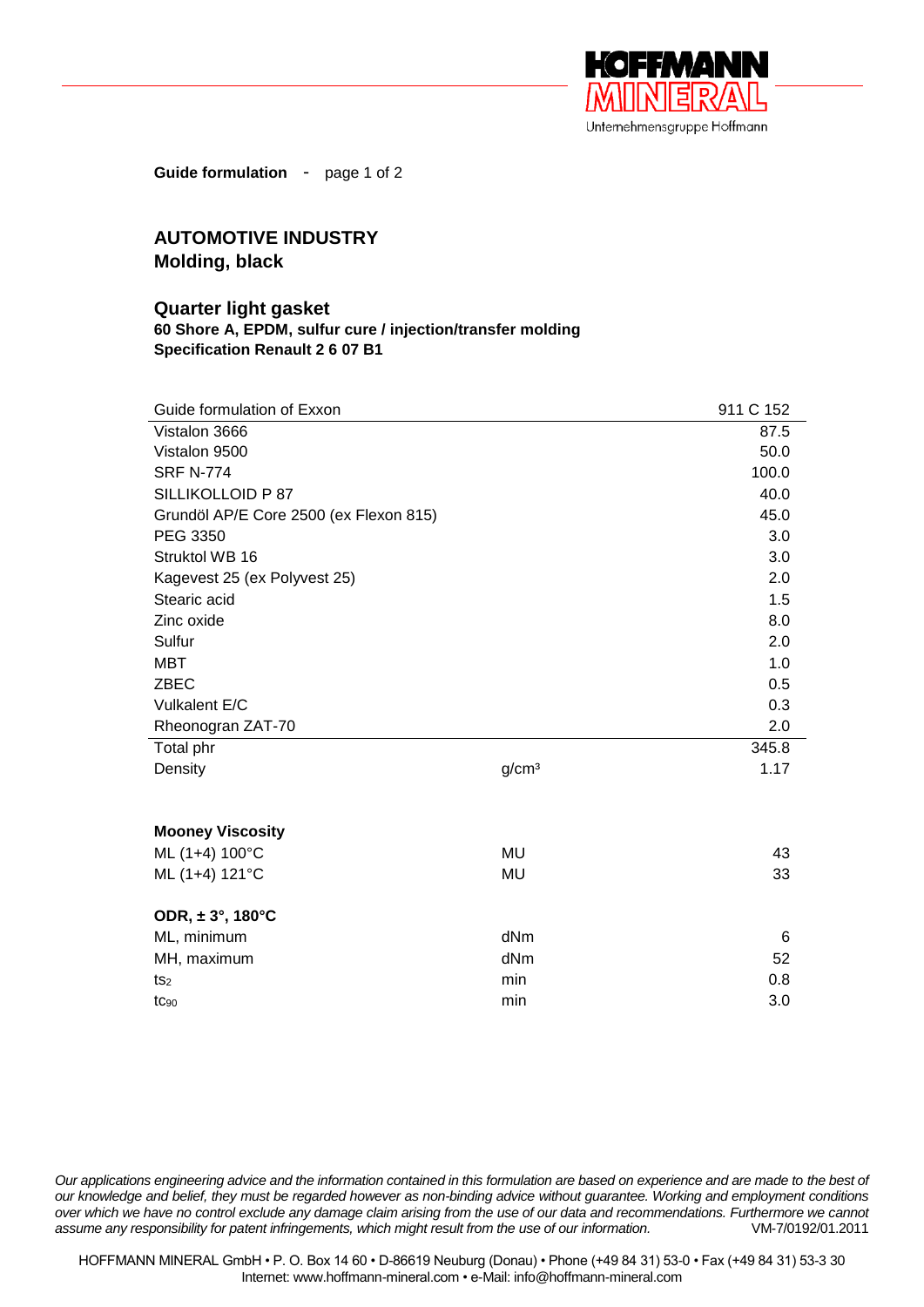

**Guide formulation** - page 1 of 2

## **AUTOMOTIVE INDUSTRY Molding, black**

## **Quarter light gasket**

**60 Shore A, EPDM, sulfur cure / injection/transfer molding Specification Renault 2 6 07 B1**

| 911 C 152<br>Guide formulation of Exxon |       |
|-----------------------------------------|-------|
| Vistalon 3666                           | 87.5  |
| Vistalon 9500                           | 50.0  |
| <b>SRF N-774</b>                        | 100.0 |
| SILLIKOLLOID P87                        | 40.0  |
| Grundöl AP/E Core 2500 (ex Flexon 815)  | 45.0  |
| PEG 3350                                | 3.0   |
| Struktol WB 16                          | 3.0   |
| Kagevest 25 (ex Polyvest 25)            | 2.0   |
| Stearic acid                            | 1.5   |
| Zinc oxide                              | 8.0   |
| Sulfur                                  | 2.0   |
| <b>MBT</b>                              | 1.0   |
| <b>ZBEC</b>                             | 0.5   |
| Vulkalent E/C                           | 0.3   |
| Rheonogran ZAT-70                       | 2.0   |
| Total phr                               | 345.8 |
| g/cm <sup>3</sup><br>Density            | 1.17  |
|                                         |       |
|                                         |       |
| <b>Mooney Viscosity</b>                 |       |
| ML (1+4) 100°C<br><b>MU</b>             | 43    |
| ML (1+4) 121°C<br><b>MU</b>             | 33    |
| ODR, ± 3°, 180°C                        |       |
| ML, minimum<br>dNm                      | 6     |
| dNm<br>MH, maximum                      | 52    |
| min<br>ts <sub>2</sub>                  | 0.8   |
| min<br>$tc_{90}$                        | 3.0   |

*Our applications engineering advice and the information contained in this formulation are based on experience and are made to the best of our knowledge and belief, they must be regarded however as non-binding advice without guarantee. Working and employment conditions over which we have no control exclude any damage claim arising from the use of our data and recommendations. Furthermore we cannot assume any responsibility for patent infringements, which might result from the use of our information.* VM-7/0192/01.2011